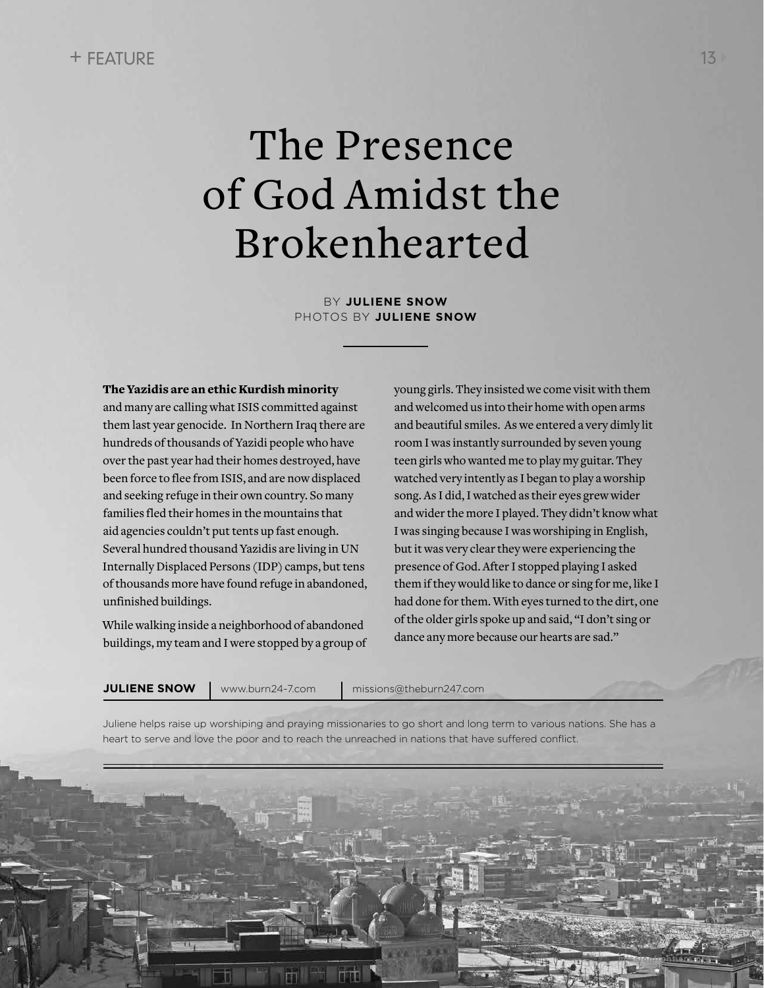## The Presence of God Amidst the Brokenhearted

BY **JULIENE SNOW** PHOTOS BY **JULIENE SNOW**

## The Yazidis are an ethic Kurdish minority

and many are calling what ISIS committed against them last year genocide. In Northern Iraq there are hundreds of thousands of Yazidi people who have over the past year had their homes destroyed, have been force to flee from ISIS, and are now displaced and seeking refuge in their own country. So many families fled their homes in the mountains that aid agencies couldn't put tents up fast enough. Several hundred thousand Yazidis are living in UN Internally Displaced Persons (IDP) camps, but tens of thousands more have found refuge in abandoned, unfinished buildings.

While walking inside a neighborhood of abandoned buildings, my team and I were stopped by a group of young girls. They insisted we come visit with them and welcomed us into their home with open arms and beautiful smiles. As we entered a very dimly lit room I was instantly surrounded by seven young teen girls who wanted me to play my guitar. They watched very intently as I began to play a worship song. As I did, I watched as their eyes grew wider and wider the more I played. They didn't know what I was singing because I was worshiping in English, but it was very clear they were experiencing the presence of God. After I stopped playing I asked them if they would like to dance or sing for me, like I had done for them. With eyes turned to the dirt, one of the older girls spoke up and said, "I don't sing or dance any more because our hearts are sad."

**JULIENE SNOW** www.burn24-7.com | missions@theburn247.com

Juliene helps raise up worshiping and praying missionaries to go short and long term to various nations. She has a heart to serve and love the poor and to reach the unreached in nations that have suffered conflict.